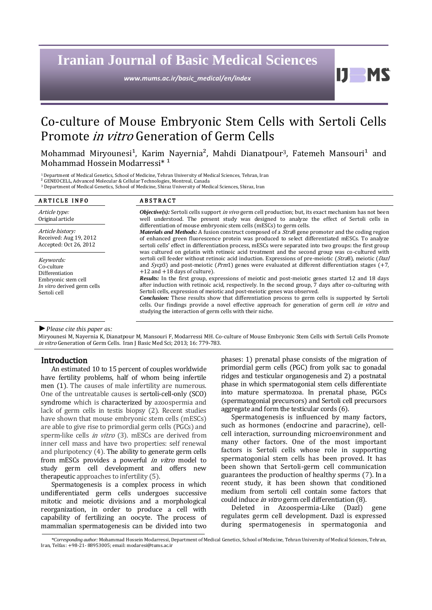# **Iranian Journal of Basic Medical Sciences**

*www.mums.ac.ir/basic\_medical/en/index*

11

# Co-culture of Mouse Embryonic Stem Cells with Sertoli Cells Promote in vitro Generation of Germ Cells

Mohammad Miryounesi<sup>1</sup>, Karim Nayernia<sup>2</sup>, Mahdi Dianatpour<sup>3</sup>, Fatemeh Mansouri<sup>1</sup> and Mohammad Hossein Modarressi\*<sup>1</sup>

<sup>1</sup> Department of Medical Genetics, School of Medicine, Tehran University of Medical Sciences, Tehran, Iran

² GENEOCELL, Advanced Molecular & Cellular Technologies, Montreal, Canada

<sup>3</sup> Department of Medical Genetics, School of Medicine, Shiraz University of Medical Sciences, Shiraz, Iran

| <b>ARTICLE INFO</b>                                                                                              | <b>ABSTRACT</b>                                                                                                                                                                                                                                                                                                                                                                                                                                                                                                                                                                                                                                                                                                                                                                                                                                                                                                                          |
|------------------------------------------------------------------------------------------------------------------|------------------------------------------------------------------------------------------------------------------------------------------------------------------------------------------------------------------------------------------------------------------------------------------------------------------------------------------------------------------------------------------------------------------------------------------------------------------------------------------------------------------------------------------------------------------------------------------------------------------------------------------------------------------------------------------------------------------------------------------------------------------------------------------------------------------------------------------------------------------------------------------------------------------------------------------|
| Article type:<br>Original article                                                                                | <i>Objective(s):</i> Sertoli cells support <i>in vivo</i> germ cell production; but, its exact mechanism has not been<br>well understood. The present study was designed to analyze the effect of Sertoli cells in                                                                                                                                                                                                                                                                                                                                                                                                                                                                                                                                                                                                                                                                                                                       |
| Article history:<br>Received: Aug 19, 2012<br>Accepted: Oct 26, 2012                                             | differentiation of mouse embryonic stem cells (mESCs) to germ cells.<br><i>Materials and Methods:</i> A fusion construct composed of a <i>Stra</i> 8 gene promoter and the coding region<br>of enhanced green fluorescence protein was produced to select differentiated mESCs. To analyze<br>sertoli cells' effect in differentiation process, mESCs were separated into two groups: the first group                                                                                                                                                                                                                                                                                                                                                                                                                                                                                                                                    |
| Keywords:<br>Co-culture<br>Differentiation<br>Embryonic stem cell<br>In vitro derived germ cells<br>Sertoli cell | was cultured on gelatin with retinoic acid treatment and the second group was co-cultured with<br>sertoli cell feeder without retinoic acid induction. Expressions of pre-meiotic (Stra8), meiotic (Dazl<br>and $Sycp3$ and post-meiotic ( <i>Prm</i> 1) genes were evaluated at different differentiation stages (+7,<br>$+12$ and $+18$ days of culture).<br><b>Results:</b> In the first group, expressions of meiotic and post-meiotic genes started 12 and 18 days<br>after induction with retinoic acid, respectively. In the second group, 7 days after co-culturing with<br>Sertoli cells, expression of meiotic and post-meiotic genes was observed.<br><b>Conclusion:</b> These results show that differentiation process to germ cells is supported by Sertoli<br>cells. Our findings provide a novel effective approach for generation of germ cell in vitro and<br>studying the interaction of germ cells with their niche. |

#### *►Please cite this paper as:*

Miryounesi M, Nayernia K, Dianatpour M, Mansouri F, Modarressi MH. Co-culture of Mouse Embryonic Stem Cells with Sertoli Cells Promote in vitro Generation of Germ Cells. Iran J Basic Med Sci; 2013; 16: 779-783.

#### Introduction

An estimated 10 to 15 percent of couples worldwide have fertility problems, half of whom being infertile men (1). The causes of male infertility are numerous. One of the untreatable causes is sertoli-cell-only (SCO) syndrome which is characterized by azoospermia and lack of germ cells in testis biopsy (2). Recent studies have shown that mouse embryonic stem cells (mESCs) are able to give rise to primordial germ cells (PGCs) and sperm-like cells *in vitro* (3). mESCs are derived from inner cell mass and have two properties: self renewal and pluripotency (4). The ability to generate germ cells from mESCs provides a powerful *in vitro* model to study germ cell development and offers new therapeutic approaches to infertility (5).

Spermatogenesis is a complex process in which undifferentiated germ cells undergoes successive mitotic and meiotic divisions and a morphological reorganization, in order to produce a cell with capability of fertilizing an oocyte. The process of mammalian spermatogenesis can be divided into two

phases: 1) prenatal phase consists of the migration of primordial germ cells (PGC) from yolk sac to gonadal ridges and testicular organogenesis and 2) a postnatal phase in which spermatogonial stem cells differentiate into mature spermatozoa. In prenatal phase, PGCs (spermatogonial precursors) and Sertoli cell precursors aggregate and form the testicular cords (6).

Spermatogenesis is influenced by many factors, such as hormones (endocrine and paracrine), cellcell interaction, surrounding microenvironment and many other factors. One of the most important factors is Sertoli cells whose role in supporting spermatogonial stem cells has been proved. It has been shown that Sertoli-germ cell communication guarantees the production of healthy sperms (7). In a recent study, it has been shown that conditioned medium from sertoli cell contain some factors that could induce in vitro germ cell differentiation (8).

Deleted in Azoospermia-Like (Dazl) gene regulates germ cell development. Dazl is expressed during spermatogenesis in spermatogonia and

*<sup>\*</sup>Corresponding author:* Mohammad Hossein Modarressi, Department of Medical Genetics, School of Medicine, Tehran University of Medical Sciences, Tehran, Iran, Telfax: +98-21- 88953005; email: modaresi@tums.ac.ir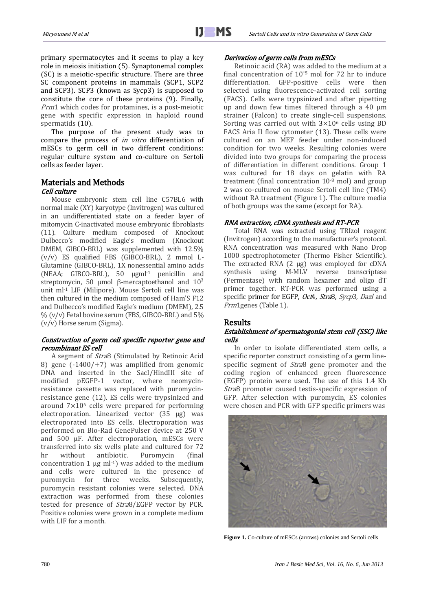primary spermatocytes and it seems to play a key role in meiosis initiation (5). Synaptonemal complex (SC) is a meiotic-specific structure. There are three SC component proteins in mammals (SCP1, SCP2 and SCP3). SCP3 (known as Sycp3) is supposed to constitute the core of these proteins (9). Finally, Prm1 which codes for protamines, is a post-meiotic gene with specific expression in haploid round spermatids (10).

The purpose of the present study was to compare the process of in vitro differentiation of mESCs to germ cell in two different conditions: regular culture system and co-culture on Sertoli cells as feeder layer.

# Materials and Methods

## Cell culture

Mouse embryonic stem cell line C57BL6 with normal male (XY) karyotype (Invitrogen) was cultured in an undifferentiated state on a feeder layer of mitomycin C-inactivated mouse embryonic fibroblasts (11). Culture medium composed of Knockout Dulbecco's modified Eagle's medium (Knockout DMEM, GIBCO-BRL) was supplemented with 12.5% (v/v) ES qualified FBS (GIBCO-BRL), 2 mmol L-Glutamine (GIBCO-BRL), 1X nonessential amino acids (NEAA; GIBCO-BRL), 50 µgml-1 penicillin and streptomycin, 50 μmol β-mercaptoethanol and  $10<sup>3</sup>$ unit ml-1 LIF (Milipore). Mouse Sertoli cell line was then cultured in the medium composed of Ham'S F12 and Dulbecco's modified Eagle's medium (DMEM), 2.5  $\%$  (v/v) Fetal bovine serum (FBS, GIBCO-BRL) and 5% (v/v) Horse serum (Sigma).

### Construction of germ cell specific reporter gene and recombinant ES cell

A segment of Stra8 (Stimulated by Retinoic Acid 8) gene  $(-1400/+7)$  was amplified from genomic DNA and inserted in the SacI/HindIII site of modified pEGFP-1 vector, where neomycinresistance cassette was replaced with puromycinresistance gene (12). ES cells were trypsinized and around  $7\times10^6$  cells were prepared for performing electroporation. Linearized vector (35 µg) was electroporated into ES cells. Electroporation was performed on Bio-Rad GenePulser device at 250 V and  $500$   $\mu$ F. After electroporation, mESCs were transferred into six wells plate and cultured for 72 hr without antibiotic. Puromycin (final concentration 1  $\mu$ g ml<sup>-1</sup>) was added to the medium and cells were cultured in the presence of puromycin for three weeks. Subsequently, puromycin resistant colonies were selected. DNA extraction was performed from these colonies tested for presence of Stra8/EGFP vector by PCR. Positive colonies were grown in a complete medium with LIF for a month.

#### Derivation of germ cells from mESCs

Retinoic acid (RA) was added to the medium at a final concentration of 10ˉ<sup>5</sup> mol for 72 hr to induce differentiation. GFP-positive cells were then selected using fluorescence-activated cell sorting (FACS). Cells were trypsinized and after pipetting up and down few times filtered through a 40 μm strainer (Falcon) to create single-cell suspensions. Sorting was carried out with  $3\times10^6$  cells using BD FACS Aria II flow cytometer (13). These cells were cultured on an MEF feeder under non-induced condition for two weeks. Resulting colonies were divided into two groups for comparing the process of differentiation in different conditions. Group 1 was cultured for 18 days on gelatin with RA treatment (final concentration  $10^{-8}$  mol) and group 2 was co-cultured on mouse Sertoli cell line (TM4) without RA treatment (Figure 1). The culture media of both groups was the same (except for RA).

### RNA extraction, cDNA synthesis and RT-PCR

Total RNA was extracted using TRIzol reagent (Invitrogen) according to the manufacturer's protocol. RNA concentration was measured with Nano Drop 1000 spectrophotometer (Thermo Fisher Scientific). The extracted RNA (2 µg) was employed for cDNA synthesis using M-MLV reverse transcriptase (Fermentase) with random hexamer and oligo dT primer together. RT-PCR was performed using a specific primer for EGFP, Oct4, Stra8, Sycp3, Dazl and Prm1genes (Table 1).

### Results

### Establishment of spermatogonial stem cell (SSC) like cells

In order to isolate differentiated stem cells, a specific reporter construct consisting of a germ linespecific segment of Stra8 gene promoter and the coding region of enhanced green fluorescence (EGFP) protein were used. The use of this 1.4 Kb Stra8 promoter caused testis-specific expression of GFP. After selection with puromycin, ES colonies were chosen and PCR with GFP specific primers was



**Figure 1.** Co-culture of mESCs (arrows) colonies and Sertoli cells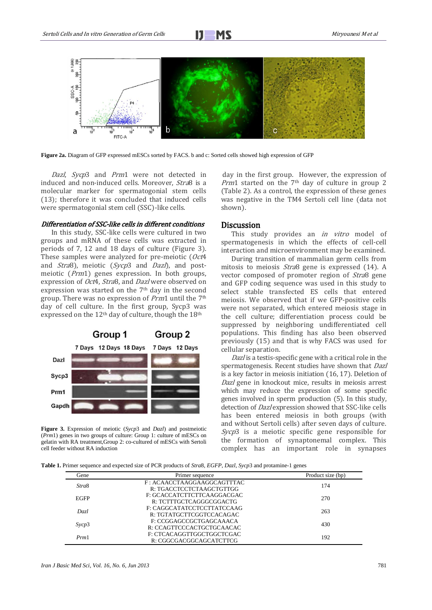

**Figure 2a.** Diagram of GFP expressed mESCs sorted by FACS. b and c: Sorted cells showed high expression of GFP

Dazl, Sycp3 and Prm1 were not detected in induced and non-induced cells. Moreover, Stra8 is a molecular marker for spermatogonial stem cells (13); therefore it was concluded that induced cells were spermatogonial stem cell (SSC)-like cells.

#### Differentiation of SSC-like cells in different conditions

In this study, SSC-like cells were cultured in two groups and mRNA of these cells was extracted in periods of 7, 12 and 18 days of culture (Figure 3). These samples were analyzed for pre-meiotic (Oct4 and Stra8), meiotic (Sycp3 and Dazl), and postmeiotic (Prm1) genes expression. In both groups, expression of Oct4, Stra8, and Dazl were observed on expression was started on the 7th day in the second group. There was no expression of Prm1 until the 7th day of cell culture. In the first group, Sycp3 was expressed on the  $12<sup>th</sup>$  day of culture, though the  $18<sup>th</sup>$ 



**Figure 3.** Expression of meiotic (*Sycp*3 and *Dazl*) and postmeiotic (*Prm*1) genes in two groups of culture: Group 1: culture of mESCs on gelatin with RA treatment,Group 2: co-cultured of mESCs with Sertoli cell feeder without RA induction

day in the first group. However, the expression of *Prm*1 started on the  $7<sup>th</sup>$  day of culture in group 2 (Table 2). As a control, the expression of these genes was negative in the TM4 Sertoli cell line (data not shown).

#### **Discussion**

This study provides an *in vitro* model of spermatogenesis in which the effects of cell-cell interaction and microenvironment may be examined.

During transition of mammalian germ cells from mitosis to meiosis Stra8 gene is expressed (14). A vector composed of promoter region of Stra8 gene and GFP coding sequence was used in this study to select stable transfected ES cells that entered meiosis. We observed that if we GFP-positive cells were not separated, which entered meiosis stage in the cell culture; differentiation process could be suppressed by neighboring undifferentiated cell populations. This finding has also been observed previously (15) and that is why FACS was used for cellular separation.

Dazl is a testis-specific gene with a critical role in the spermatogenesis. Recent studies have shown that Dazl is a key factor in meiosis initiation (16, 17). Deletion of Dazl gene in knockout mice, results in meiosis arrest which may reduce the expression of some specific genes involved in sperm production (5). In this study, detection of Dazl expression showed that SSC-like cells has been entered meiosis in both groups (with and without Sertoli cells) after seven days of culture. Sycp3 is a meiotic specific gene responsible for the formation of synaptonemal complex. This complex has an important role in synapses

**Table 1.** Primer sequence and expected size of PCR products of *Stra*8, *EGFP*, *Dazl*, *Sycp*3 and protamine-1 genes

| Gene        | Primer sequence            | Product size (bp) |  |
|-------------|----------------------------|-------------------|--|
| Stra8       | F: ACAACCTAAGGAAGGCAGTTTAC | 174               |  |
|             | R: TGACCTCCTCTAAGCTGTTGG   |                   |  |
| <b>EGFP</b> | F: GCACCATCTTCTTCAAGGACGAC | 270               |  |
|             | R: TCTTTGCTCAGGGCGGACTG    |                   |  |
| Dazl        | F: CAGGCATATCCTCCTTATCCAAG | 263               |  |
|             | R: TGTATGCTTCGGTCCACAGAC   |                   |  |
| Sycp3       | F: CCGGAGCCGCTGAGCAAACA    | 430               |  |
|             | R: CCAGTTCCCACTGCTGCAACAC  |                   |  |
| Prm1        | F: CTCACAGGTTGGCTGGCTCGAC  | 192               |  |
|             | R: CGGCGACGGCAGCATCTTCG    |                   |  |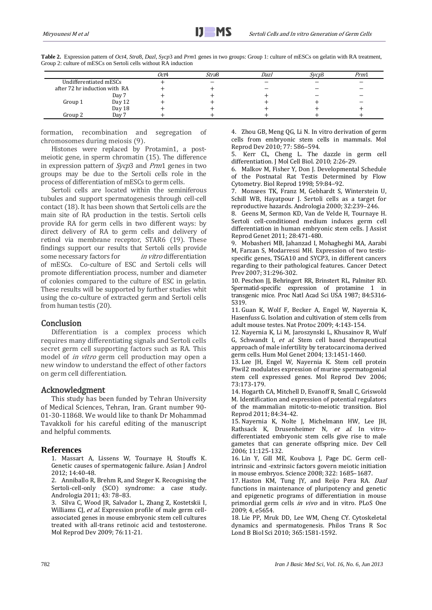| <b>Table 2.</b> Expression pattern of <i>Oct4</i> , <i>Stra8</i> , <i>Dazl</i> , <i>Sycp3</i> and <i>Prm1</i> genes in two groups: Group 1: culture of mESCs on gelatin with RA treatment, |      |       |      |       |      |
|--------------------------------------------------------------------------------------------------------------------------------------------------------------------------------------------|------|-------|------|-------|------|
| Group 2: culture of mESCs on Sertoli cells without RA induction                                                                                                                            |      |       |      |       |      |
|                                                                                                                                                                                            | Oct4 | Stra8 | Dazl | Svcn3 | Prm1 |

|         |                               | Oct4 | Stra8 | Dazl | Svcp3 | Prm1 |
|---------|-------------------------------|------|-------|------|-------|------|
|         | Undifferentiated mESCs        |      |       |      |       |      |
|         | after 72 hr induction with RA |      |       |      |       |      |
|         | Day 7                         |      |       |      |       |      |
| Group 1 | Day 12                        |      |       |      |       |      |
|         | Day 18                        |      |       |      |       |      |
| Group 2 | Day 7                         |      |       |      |       |      |

formation, recombination and segregation of chromosomes during meiosis (9).

Histones were replaced by Protamin1, a postmeiotic gene, in sperm chromatin (15). The difference in expression pattern of Sycp3 and Prm1 genes in two groups may be due to the Sertoli cells role in the process of differentiation of mESCs to germ cells.

Sertoli cells are located within the seminiferous tubules and support spermatogenesis through cell-cell contact (18). It has been shown that Sertoli cells are the main site of RA production in the testis. Sertoli cells provide RA for germ cells in two different ways: by direct delivery of RA to germ cells and delivery of retinol via membrane receptor, STAR6 (19). These findings support our results that Sertoli cells provide some necessary factors for *in vitro* differentiation of mESCs. Co-culture of ESC and Sertoli cells will promote differentiation process, number and diameter of colonies compared to the culture of ESC in gelatin. These results will be supported by further studies whit using the co-culture of extracted germ and Sertoli cells from human testis (20).

### Conclusion

Differentiation is a complex process which requires many differentiating signals and Sertoli cells secret germ cell supporting factors such as RA. This model of in vitro germ cell production may open a new window to understand the effect of other factors on germ cell differentiation.

### Acknowledgment

This study has been funded by Tehran University of Medical Sciences, Tehran, Iran. Grant number 90- 01-30-11868. We would like to thank Dr Mohammad Tavakkoli for his careful editing of the manuscript and helpful comments.

### **References**

1. [Massart](http://www.ncbi.nlm.nih.gov/pubmed?term=Massart%20A%5BAuthor%5D&cauthor=true&cauthor_uid=22138898) A, [Lissens](http://www.ncbi.nlm.nih.gov/pubmed?term=Lissens%20W%5BAuthor%5D&cauthor=true&cauthor_uid=22138898) W, [Tournaye](http://www.ncbi.nlm.nih.gov/pubmed?term=Tournaye%20H%5BAuthor%5D&cauthor=true&cauthor_uid=22138898) H, Stouffs K. Genetic causes of spermatogenic failure. [Asian J Androl](http://www.ncbi.nlm.nih.gov/pubmed/22138898) 2012; 14:40-48.

2. Anniballo R, Brehm R, and Steger K. Recognising the Sertoli-cell-only (SCO) syndrome: a case study. Andrologia 2011; 43: 78–83.

3. [Silva C,](http://www.ncbi.nlm.nih.gov/pubmed?term=%22Silva%20C%22%5BAuthor%5D) [Wood JR,](http://www.ncbi.nlm.nih.gov/pubmed?term=%22Wood%20JR%22%5BAuthor%5D) [Salvador L,](http://www.ncbi.nlm.nih.gov/pubmed?term=%22Salvador%20L%22%5BAuthor%5D) [Zhang Z,](http://www.ncbi.nlm.nih.gov/pubmed?term=%22Zhang%20Z%22%5BAuthor%5D) [Kostetskii I,](http://www.ncbi.nlm.nih.gov/pubmed?term=%22Kostetskii%20I%22%5BAuthor%5D)  [Williams CJ,](http://www.ncbi.nlm.nih.gov/pubmed?term=%22Williams%20CJ%22%5BAuthor%5D) [et](http://www.ncbi.nlm.nih.gov/pubmed?term=%22Strauss%20JF%203rd%22%5BAuthor%5D) al. Expression profile of male germ cellassociated genes in mouse embryonic stem cell cultures treated with all-trans retinoic acid and testosterone. [Mol Reprod Dev](http://www.ncbi.nlm.nih.gov/pubmed?term=Expression%20Profile%20of%20Male%20Germ%20Cell-Associated%20Genes%20inMouse%20Embryonic%20Stem%20Cell%20Cultures%20Treated%20) 2009; 76:11-21.

4. Zhou GB, Meng QG, Li N. In vitro derivation of germ cells from embryonic stem cells in mammals. Mol Reprod Dev 2010; 77: 586–594.

5. [Kerr CL,](http://www.ncbi.nlm.nih.gov/pubmed?term=%22Kerr%20CL%22%5BAuthor%5D) [Cheng L.](http://www.ncbi.nlm.nih.gov/pubmed?term=%22Cheng%20L%22%5BAuthor%5D) The dazzle in germ cell differentiation[. J Mol Cell Biol.](http://www.ncbi.nlm.nih.gov/pubmed?term=dazzle%20dazl) 2010; 2:26-29.

6. Malkov M, Fisher Y, Don J. Developmental Schedule of the Postnatal Rat Testis Determined by Flow Cytometry. Biol Reprod 1998; 59:84–92.

7. Monsees TK, Franz M, Gebhardt S, Winterstein U, Schill WB, Hayatpour J. Sertoli cells as a target for reproductive hazards. Andrologia 2000; 32:239–246.

8. [Geens M,](http://www.ncbi.nlm.nih.gov/pubmed?term=Geens%20M%5BAuthor%5D&cauthor=true&cauthor_uid=21318592) [Sermon KD,](http://www.ncbi.nlm.nih.gov/pubmed?term=Sermon%20KD%5BAuthor%5D&cauthor=true&cauthor_uid=21318592) [Van de Velde H,](http://www.ncbi.nlm.nih.gov/pubmed?term=Van%20de%20Velde%20H%5BAuthor%5D&cauthor=true&cauthor_uid=21318592) [Tournaye H.](http://www.ncbi.nlm.nih.gov/pubmed?term=Tournaye%20H%5BAuthor%5D&cauthor=true&cauthor_uid=21318592) Sertoli cell-conditioned medium induces germ cell differentiation in human embryonic stem cells. [J Assist](http://www.ncbi.nlm.nih.gov/pubmed/21318592)  [Reprod Genet](http://www.ncbi.nlm.nih.gov/pubmed/21318592) 2011; 28:471-480.

9. [Mobasheri MB,](http://www.ncbi.nlm.nih.gov/pubmed?term=%22Mobasheri%20MB%22%5BAuthor%5D) [Jahanzad I,](http://www.ncbi.nlm.nih.gov/pubmed?term=%22Jahanzad%20I%22%5BAuthor%5D) [Mohagheghi MA,](http://www.ncbi.nlm.nih.gov/pubmed?term=%22Mohagheghi%20MA%22%5BAuthor%5D) [Aarabi](http://www.ncbi.nlm.nih.gov/pubmed?term=%22Aarabi%20M%22%5BAuthor%5D)  [M,](http://www.ncbi.nlm.nih.gov/pubmed?term=%22Aarabi%20M%22%5BAuthor%5D) [Farzan S,](http://www.ncbi.nlm.nih.gov/pubmed?term=%22Farzan%20S%22%5BAuthor%5D) [Modarressi MH.](http://www.ncbi.nlm.nih.gov/pubmed?term=%22Modarressi%20MH%22%5BAuthor%5D) Expression of two testisspecific genes, TSGA10 and SYCP3, in different cancers regarding to their pathological features. [Cancer Detect](http://www.ncbi.nlm.nih.gov/pubmed/?term=Expression%20of%20two%20testis-specific%20genes%2C%20TSGA10%20and%20SYCP3)  [Prev 2007;](http://www.ncbi.nlm.nih.gov/pubmed/?term=Expression%20of%20two%20testis-specific%20genes%2C%20TSGA10%20and%20SYCP3) 31:296-302.

10. Peschon JJ, Behringert RR, Brinstert RL, Palmiter RD. Spermatid-specific expression of protamine 1 in transgenic mice. [Proc Natl Acad Sci USA](http://www.ncbi.nlm.nih.gov/pubmed/3037541) 1987; 84:5316- 5319.

11. [Guan K,](http://www.ncbi.nlm.nih.gov/pubmed?term=Guan%20K%5BAuthor%5D&cauthor=true&cauthor_uid=19180086) [Wolf F,](http://www.ncbi.nlm.nih.gov/pubmed?term=Wolf%20F%5BAuthor%5D&cauthor=true&cauthor_uid=19180086) [Becker A,](http://www.ncbi.nlm.nih.gov/pubmed?term=Becker%20A%5BAuthor%5D&cauthor=true&cauthor_uid=19180086) [Engel W,](http://www.ncbi.nlm.nih.gov/pubmed?term=Engel%20W%5BAuthor%5D&cauthor=true&cauthor_uid=19180086) [Nayernia K,](http://www.ncbi.nlm.nih.gov/pubmed?term=Nayernia%20K%5BAuthor%5D&cauthor=true&cauthor_uid=19180086) [Hasenfuss G.](http://www.ncbi.nlm.nih.gov/pubmed?term=Hasenfuss%20G%5BAuthor%5D&cauthor=true&cauthor_uid=19180086) Isolation and cultivation of stem cells from adult mouse testes[. Nat Protoc](http://www.ncbi.nlm.nih.gov/pubmed?term=Isolation%20and%20cultivation%20of%20stem%20cells%20from%20adult%20mouse%20testes) 2009; 4:143-154.

12. [Nayernia K,](http://www.ncbi.nlm.nih.gov/pubmed?term=%22Nayernia%20K%22%5BAuthor%5D) [Li M,](http://www.ncbi.nlm.nih.gov/pubmed?term=%22Li%20M%22%5BAuthor%5D) [Jaroszynski L,](http://www.ncbi.nlm.nih.gov/pubmed?term=%22Jaroszynski%20L%22%5BAuthor%5D) [Khusainov R,](http://www.ncbi.nlm.nih.gov/pubmed?term=%22Khusainov%20R%22%5BAuthor%5D) [Wulf](http://www.ncbi.nlm.nih.gov/pubmed?term=%22Wulf%20G%22%5BAuthor%5D)  [G,](http://www.ncbi.nlm.nih.gov/pubmed?term=%22Wulf%20G%22%5BAuthor%5D) [Schwandt I,](http://www.ncbi.nlm.nih.gov/pubmed?term=%22Schwandt%20I%22%5BAuthor%5D) et al. Stem cell based therapeutical approach of male infertility by teratocarcinoma derived germ cells. [Hum Mol Genet](http://www.ncbi.nlm.nih.gov/pubmed?term=Stem%20cell%20based%20therapeutical%20approach%20of%20male%20nayernia) 2004; 13:1451-1460.

13. Lee JH, Engel W, Nayernia K. Stem cell protein Piwil2 modulates expression of murine spermatogonial stem cell expressed genes. Mol Reprod Dev 2006; 73:173-179.

14. [Hogarth CA,](http://www.ncbi.nlm.nih.gov/pubmed?term=%22Hogarth%20CA%22%5BAuthor%5D) [Mitchell D,](http://www.ncbi.nlm.nih.gov/pubmed?term=%22Mitchell%20D%22%5BAuthor%5D) [Evanoff R,](http://www.ncbi.nlm.nih.gov/pubmed?term=%22Evanoff%20R%22%5BAuthor%5D) [Small C,](http://www.ncbi.nlm.nih.gov/pubmed?term=%22Small%20C%22%5BAuthor%5D) [Griswold](http://www.ncbi.nlm.nih.gov/pubmed?term=%22Griswold%20M%22%5BAuthor%5D)  [M.](http://www.ncbi.nlm.nih.gov/pubmed?term=%22Griswold%20M%22%5BAuthor%5D) Identification and expression of potential regulators of the mammalian mitotic-to-meiotic transition. Biol Reprod 2011; 84:34-42.

15. [Nayernia K,](http://www.ncbi.nlm.nih.gov/pubmed?term=%22Nayernia%20K%22%5BAuthor%5D) [Nolte J,](http://www.ncbi.nlm.nih.gov/pubmed?term=%22Nolte%20J%22%5BAuthor%5D) [Michelmann HW,](http://www.ncbi.nlm.nih.gov/pubmed?term=%22Michelmann%20HW%22%5BAuthor%5D) [Lee JH,](http://www.ncbi.nlm.nih.gov/pubmed?term=%22Lee%20JH%22%5BAuthor%5D) [Rathsack K,](http://www.ncbi.nlm.nih.gov/pubmed?term=%22Rathsack%20K%22%5BAuthor%5D) [Drusenheimer N,](http://www.ncbi.nlm.nih.gov/pubmed?term=%22Drusenheimer%20N%22%5BAuthor%5D) et al. In vitrodifferentiated embryonic stem cells give rise to male gametes that can generate offspring mice. [Dev Cell](http://www.ncbi.nlm.nih.gov/pubmed/16824959) 2006; 11:125-132.

16. Lin Y, Gill ME, Koubova J, Page DC. Germ cellintrinsic and -extrinsic factors govern meiotic initiation in mouse embryos. Science 2008; 322: 1685–1687.

17. Haston KM, Tung JY, and Reijo Pera RA. Dazl functions in maintenance of pluripotency and genetic and epigenetic programs of differentiation in mouse primordial germ cells in vivo and in vitro. PLoS One 2009; 4, e5654.

18. [Lie PP,](http://www.ncbi.nlm.nih.gov/pubmed?term=%22Lie%20PP%22%5BAuthor%5D) [Mruk DD,](http://www.ncbi.nlm.nih.gov/pubmed?term=%22Mruk%20DD%22%5BAuthor%5D) [Lee WM,](http://www.ncbi.nlm.nih.gov/pubmed?term=%22Lee%20WM%22%5BAuthor%5D) [Cheng CY.](http://www.ncbi.nlm.nih.gov/pubmed?term=%22Cheng%20CY%22%5BAuthor%5D) Cytoskeletal dynamics and spermatogenesis. [Philos Trans R Soc](http://www.ncbi.nlm.nih.gov/pmc/journals/136/)  [Lond B Biol Sci](http://www.ncbi.nlm.nih.gov/pmc/journals/136/) 2010; 365:1581-1592.